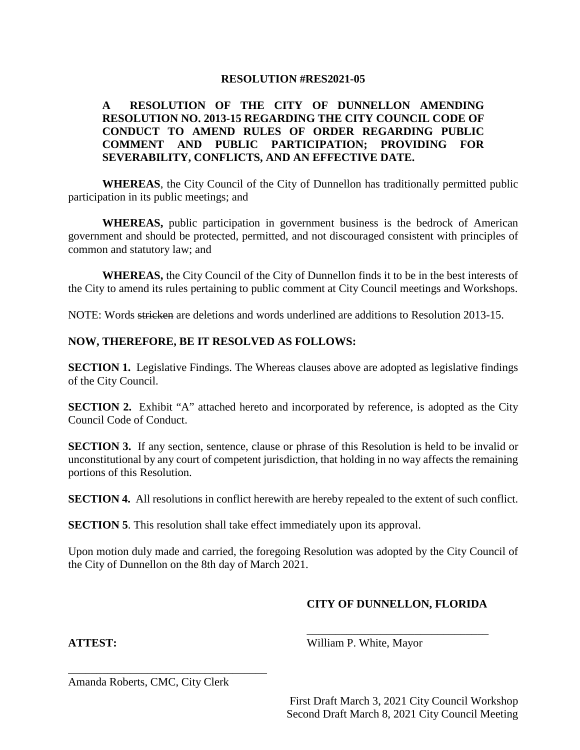## **RESOLUTION #RES2021-05**

# **A RESOLUTION OF THE CITY OF DUNNELLON AMENDING RESOLUTION NO. 2013-15 REGARDING THE CITY COUNCIL CODE OF CONDUCT TO AMEND RULES OF ORDER REGARDING PUBLIC COMMENT AND PUBLIC PARTICIPATION; PROVIDING FOR SEVERABILITY, CONFLICTS, AND AN EFFECTIVE DATE.**

**WHEREAS**, the City Council of the City of Dunnellon has traditionally permitted public participation in its public meetings; and

**WHEREAS,** public participation in government business is the bedrock of American government and should be protected, permitted, and not discouraged consistent with principles of common and statutory law; and

**WHEREAS,** the City Council of the City of Dunnellon finds it to be in the best interests of the City to amend its rules pertaining to public comment at City Council meetings and Workshops.

NOTE: Words stricken are deletions and words underlined are additions to Resolution 2013-15.

## **NOW, THEREFORE, BE IT RESOLVED AS FOLLOWS:**

**SECTION 1.** Legislative Findings. The Whereas clauses above are adopted as legislative findings of the City Council.

**SECTION 2.** Exhibit "A" attached hereto and incorporated by reference, is adopted as the City Council Code of Conduct.

**SECTION 3.** If any section, sentence, clause or phrase of this Resolution is held to be invalid or unconstitutional by any court of competent jurisdiction, that holding in no way affects the remaining portions of this Resolution.

**SECTION 4.** All resolutions in conflict herewith are hereby repealed to the extent of such conflict.

**SECTION 5**. This resolution shall take effect immediately upon its approval.

Upon motion duly made and carried, the foregoing Resolution was adopted by the City Council of the City of Dunnellon on the 8th day of March 2021.

# **CITY OF DUNNELLON, FLORIDA**

\_\_\_\_\_\_\_\_\_\_\_\_\_\_\_\_\_\_\_\_\_\_\_\_\_\_\_\_\_\_\_\_

**ATTEST:** William P. White, Mayor

Amanda Roberts, CMC, City Clerk

\_\_\_\_\_\_\_\_\_\_\_\_\_\_\_\_\_\_\_\_\_\_\_\_\_\_\_\_\_\_\_\_\_\_\_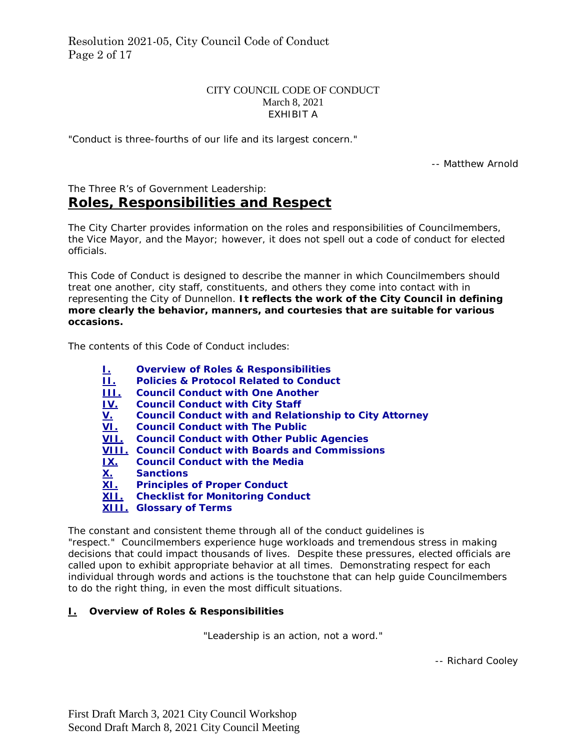## CITY COUNCIL CODE OF CONDUCT March 8, 2021 EXHIBIT A

"Conduct is three-fourths of our life and its largest concern."

-- Matthew Arnold

# The Three R's of Government Leadership: *Roles, Responsibilities and Respect*

The City Charter provides information on the roles and responsibilities of Councilmembers, the Vice Mayor, and the Mayor; however, it does not spell out a code of conduct for elected officials.

This Code of Conduct is designed to describe the manner in which Councilmembers should treat one another, city staff, constituents, and others they come into contact with in representing the City of Dunnellon. *It reflects the work of the City Council in defining more clearly the behavior, manners, and courtesies that are suitable for various occasions.* 

The contents of this Code of Conduct includes:

- **I. [Overview of Roles & Responsibilities](http://sunnyvale.ca.gov/sunnyvale4/templates/3CCouncilPage.aspx?NRMODE=Published&NRORIGINALURL=%2fCity%2bCouncil%2fcode-of-conduct%2ehtm&NRNODEGUID=%7b7C5E35F5-46D3-467B-B254-9A52CCC9C5A0%7d&NRCACHEHINT=Guest#1#1)**
- **II. [Policies & Protocol Related to Conduct](http://sunnyvale.ca.gov/sunnyvale4/templates/3CCouncilPage.aspx?NRMODE=Published&NRORIGINALURL=%2fCity%2bCouncil%2fcode-of-conduct%2ehtm&NRNODEGUID=%7b7C5E35F5-46D3-467B-B254-9A52CCC9C5A0%7d&NRCACHEHINT=Guest#2#2)**
- **[Council Conduct with One Another](http://sunnyvale.ca.gov/sunnyvale4/templates/3CCouncilPage.aspx?NRMODE=Published&NRORIGINALURL=%2fCity%2bCouncil%2fcode-of-conduct%2ehtm&NRNODEGUID=%7b7C5E35F5-46D3-467B-B254-9A52CCC9C5A0%7d&NRCACHEHINT=Guest#3#3)**
- **IV. [Council Conduct with City Staff](http://sunnyvale.ca.gov/sunnyvale4/templates/3CCouncilPage.aspx?NRMODE=Published&NRORIGINALURL=%2fCity%2bCouncil%2fcode-of-conduct%2ehtm&NRNODEGUID=%7b7C5E35F5-46D3-467B-B254-9A52CCC9C5A0%7d&NRCACHEHINT=Guest#4#4)**
- **V. Council Conduct with and Relationship to City Attorney**
- **VI. [Council Conduct with The Public](http://sunnyvale.ca.gov/sunnyvale4/templates/3CCouncilPage.aspx?NRMODE=Published&NRORIGINALURL=%2fCity%2bCouncil%2fcode-of-conduct%2ehtm&NRNODEGUID=%7b7C5E35F5-46D3-467B-B254-9A52CCC9C5A0%7d&NRCACHEHINT=Guest#5#5)**
- **VII. [Council Conduct with Other Public Agencies](http://sunnyvale.ca.gov/sunnyvale4/templates/3CCouncilPage.aspx?NRMODE=Published&NRORIGINALURL=%2fCity%2bCouncil%2fcode-of-conduct%2ehtm&NRNODEGUID=%7b7C5E35F5-46D3-467B-B254-9A52CCC9C5A0%7d&NRCACHEHINT=Guest#6#6)**
- **VIII. [Council Conduct with Boards and Commissions](http://sunnyvale.ca.gov/sunnyvale4/templates/3CCouncilPage.aspx?NRMODE=Published&NRORIGINALURL=%2fCity%2bCouncil%2fcode-of-conduct%2ehtm&NRNODEGUID=%7b7C5E35F5-46D3-467B-B254-9A52CCC9C5A0%7d&NRCACHEHINT=Guest#7#7)**
- **IX. [Council Conduct with the Media](http://sunnyvale.ca.gov/sunnyvale4/templates/3CCouncilPage.aspx?NRMODE=Published&NRORIGINALURL=%2fCity%2bCouncil%2fcode-of-conduct%2ehtm&NRNODEGUID=%7b7C5E35F5-46D3-467B-B254-9A52CCC9C5A0%7d&NRCACHEHINT=Guest#8#8)**
- **X. [Sanctions](http://sunnyvale.ca.gov/sunnyvale4/templates/3CCouncilPage.aspx?NRMODE=Published&NRORIGINALURL=%2fCity%2bCouncil%2fcode-of-conduct%2ehtm&NRNODEGUID=%7b7C5E35F5-46D3-467B-B254-9A52CCC9C5A0%7d&NRCACHEHINT=Guest#9#9)**
- **XI. [Principles of Proper Conduct](http://sunnyvale.ca.gov/sunnyvale4/templates/3CCouncilPage.aspx?NRMODE=Published&NRORIGINALURL=%2fCity%2bCouncil%2fcode-of-conduct%2ehtm&NRNODEGUID=%7b7C5E35F5-46D3-467B-B254-9A52CCC9C5A0%7d&NRCACHEHINT=Guest#10#10)**
- **XII. [Checklist for Monitoring Conduct](http://sunnyvale.ca.gov/sunnyvale4/templates/3CCouncilPage.aspx?NRMODE=Published&NRORIGINALURL=%2fCity%2bCouncil%2fcode-of-conduct%2ehtm&NRNODEGUID=%7b7C5E35F5-46D3-467B-B254-9A52CCC9C5A0%7d&NRCACHEHINT=Guest#11#11)**
- **XIII. [Glossary of Terms](http://sunnyvale.ca.gov/sunnyvale4/templates/3CCouncilPage.aspx?NRMODE=Published&NRORIGINALURL=%2fCity%2bCouncil%2fcode-of-conduct%2ehtm&NRNODEGUID=%7b7C5E35F5-46D3-467B-B254-9A52CCC9C5A0%7d&NRCACHEHINT=Guest#12#12)**

The constant and consistent theme through all of the conduct guidelines is "respect." Councilmembers experience huge workloads and tremendous stress in making decisions that could impact thousands of lives. Despite these pressures, elected officials are called upon to exhibit appropriate behavior at all times. Demonstrating respect for each individual through words and actions is the touchstone that can help guide Councilmembers to do the right thing, in even the most difficult situations.

## **I. Overview of Roles & Responsibilities**

"Leadership is an action, not a word."

-- Richard Cooley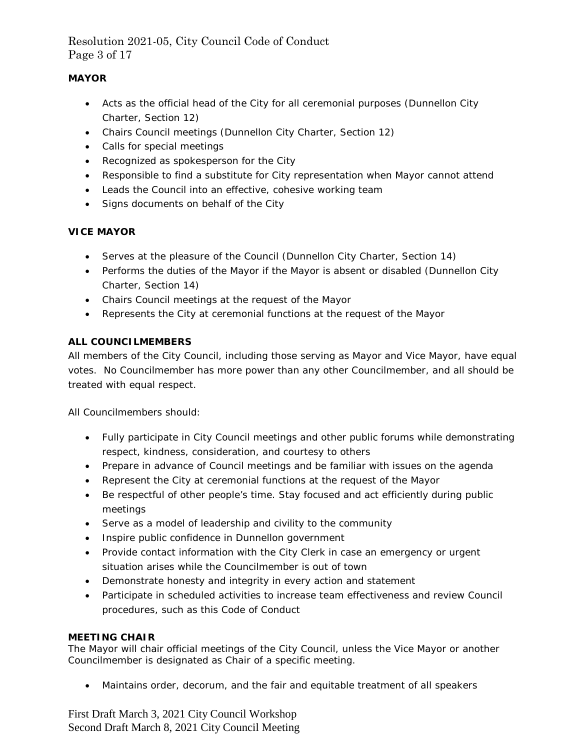# Resolution 2021-05, City Council Code of Conduct Page 3 of 17

## **MAYOR**

- Acts as the official head of the City for all ceremonial purposes (Dunnellon City Charter, Section 12)
- Chairs Council meetings (Dunnellon City Charter, Section 12)
- Calls for special meetings
- Recognized as spokesperson for the City
- Responsible to find a substitute for City representation when Mayor cannot attend
- Leads the Council into an effective, cohesive working team
- Signs documents on behalf of the City

## **VICE MAYOR**

- Serves at the pleasure of the Council (Dunnellon City Charter, Section 14)
- Performs the duties of the Mayor if the Mayor is absent or disabled (Dunnellon City Charter, Section 14)
- Chairs Council meetings at the request of the Mayor
- Represents the City at ceremonial functions at the request of the Mayor

## **ALL COUNCILMEMBERS**

All members of the City Council, including those serving as Mayor and Vice Mayor, have equal votes. No Councilmember has more power than any other Councilmember, and all should be treated with equal respect.

All Councilmembers should:

- Fully participate in City Council meetings and other public forums while demonstrating respect, kindness, consideration, and courtesy to others
- Prepare in advance of Council meetings and be familiar with issues on the agenda
- Represent the City at ceremonial functions at the request of the Mayor
- Be respectful of other people's time. Stay focused and act efficiently during public meetings
- Serve as a model of leadership and civility to the community
- Inspire public confidence in Dunnellon government
- Provide contact information with the City Clerk in case an emergency or urgent situation arises while the Councilmember is out of town
- Demonstrate honesty and integrity in every action and statement
- Participate in scheduled activities to increase team effectiveness and review Council procedures, such as this Code of Conduct

## **MEETING CHAIR**

The Mayor will chair official meetings of the City Council, unless the Vice Mayor or another Councilmember is designated as Chair of a specific meeting.

• Maintains order, decorum, and the fair and equitable treatment of all speakers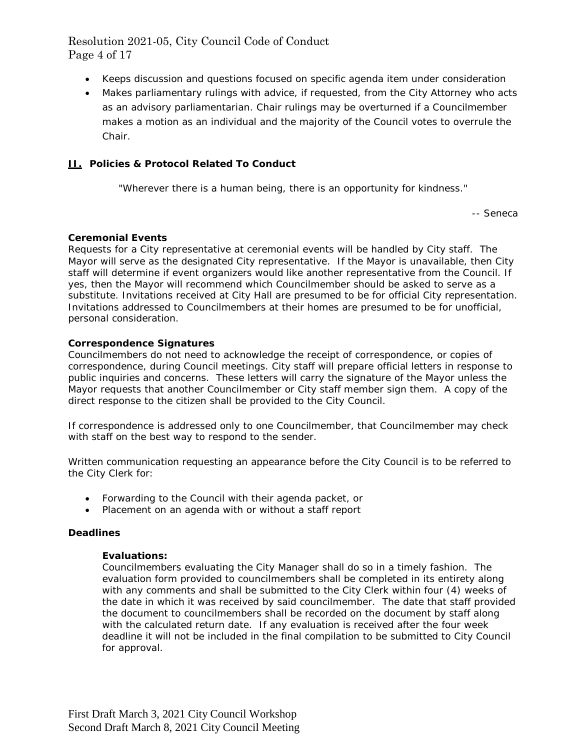Resolution 2021-05, City Council Code of Conduct Page 4 of 17

- Keeps discussion and questions focused on specific agenda item under consideration
- Makes parliamentary rulings with advice, if requested, from the City Attorney who acts as an advisory parliamentarian. Chair rulings may be overturned if a Councilmember makes a motion as an individual and the majority of the Council votes to overrule the Chair.

## **II. Policies & Protocol Related To Conduct**

"Wherever there is a human being, there is an opportunity for kindness."

-- Seneca

## **Ceremonial Events**

Requests for a City representative at ceremonial events will be handled by City staff. The Mayor will serve as the designated City representative. If the Mayor is unavailable, then City staff will determine if event organizers would like another representative from the Council. If yes, then the Mayor will recommend which Councilmember should be asked to serve as a substitute. Invitations received at City Hall are presumed to be for official City representation. Invitations addressed to Councilmembers at their homes are presumed to be for unofficial, personal consideration.

## **Correspondence Signatures**

Councilmembers do not need to acknowledge the receipt of correspondence, or copies of correspondence, during Council meetings. City staff will prepare official letters in response to public inquiries and concerns. These letters will carry the signature of the Mayor unless the Mayor requests that another Councilmember or City staff member sign them. A copy of the direct response to the citizen shall be provided to the City Council.

If correspondence is addressed only to one Councilmember, that Councilmember may check with staff on the best way to respond to the sender.

Written communication requesting an appearance before the City Council is to be referred to the City Clerk for:

- Forwarding to the Council with their agenda packet, or
- Placement on an agenda with or without a staff report

#### **Deadlines**

#### **Evaluations:**

Councilmembers evaluating the City Manager shall do so in a timely fashion. The evaluation form provided to councilmembers shall be completed in its entirety along with any comments and shall be submitted to the City Clerk within four (4) weeks of the date in which it was received by said councilmember. The date that staff provided the document to councilmembers shall be recorded on the document by staff along with the calculated return date. If any evaluation is received after the four week deadline it will not be included in the final compilation to be submitted to City Council for approval.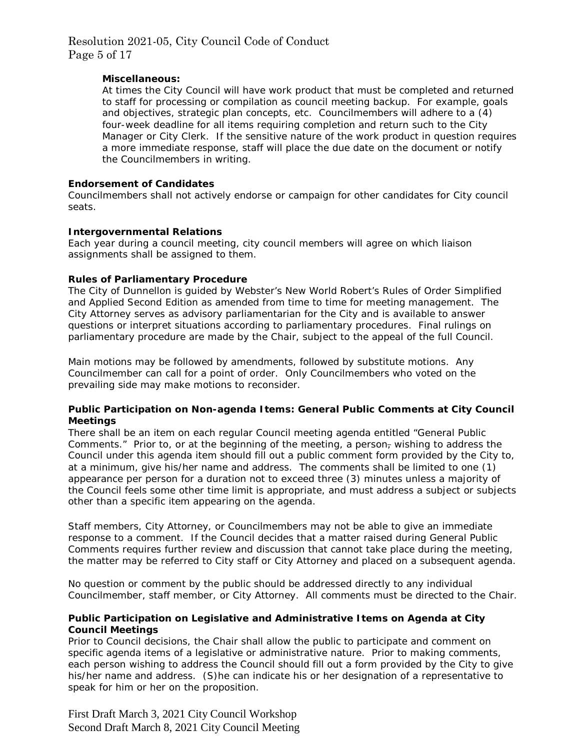## **Miscellaneous:**

At times the City Council will have work product that must be completed and returned to staff for processing or compilation as council meeting backup. For example, goals and objectives, strategic plan concepts, etc. Councilmembers will adhere to a (4) four-week deadline for all items requiring completion and return such to the City Manager or City Clerk. If the sensitive nature of the work product in question requires a more immediate response, staff will place the due date on the document or notify the Councilmembers in writing.

### **Endorsement of Candidates**

Councilmembers shall not actively endorse or campaign for other candidates for City council seats.

## **Intergovernmental Relations**

Each year during a council meeting, city council members will agree on which liaison assignments shall be assigned to them.

## **Rules of Parliamentary Procedure**

The City of Dunnellon is guided by Webster's New World Robert's Rules of Order Simplified and Applied Second Edition as amended from time to time for meeting management. The City Attorney serves as advisory parliamentarian for the City and is available to answer questions or interpret situations according to parliamentary procedures. Final rulings on parliamentary procedure are made by the Chair, subject to the appeal of the full Council.

Main motions may be followed by amendments, followed by substitute motions. Any Councilmember can call for a point of order. Only Councilmembers who voted on the prevailing side may make motions to reconsider.

## **Public Participation on Non-agenda Items: General Public Comments at City Council Meetings**

There shall be an item on each regular Council meeting agenda entitled "General Public Comments." Prior to, or at the beginning of the meeting, a person, wishing to address the Council under this agenda item should fill out a public comment form provided by the City to, at a minimum, give his/her name and address. The comments shall be limited to one (1) appearance per person for a duration not to exceed three (3) minutes unless a majority of the Council feels some other time limit is appropriate, and must address a subject or subjects other than a specific item appearing on the agenda.

Staff members, City Attorney, or Councilmembers may not be able to give an immediate response to a comment. If the Council decides that a matter raised during General Public Comments requires further review and discussion that cannot take place during the meeting, the matter may be referred to City staff or City Attorney and placed on a subsequent agenda.

No question or comment by the public should be addressed directly to any individual Councilmember, staff member, or City Attorney. All comments must be directed to the Chair.

## **Public Participation on Legislative and Administrative Items on Agenda at City Council Meetings**

Prior to Council decisions, the Chair shall allow the public to participate and comment on specific agenda items of a legislative or administrative nature. Prior to making comments, each person wishing to address the Council should fill out a form provided by the City to give his/her name and address. (S)he can indicate his or her designation of a representative to speak for him or her on the proposition.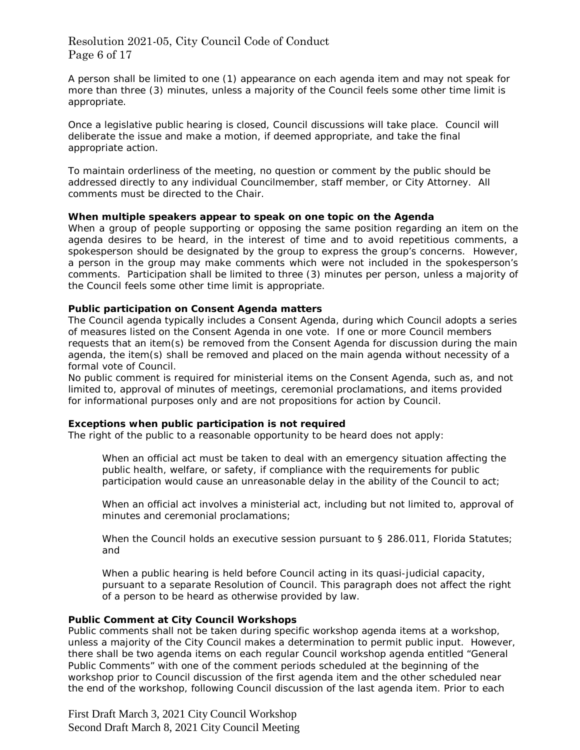Resolution 2021-05, City Council Code of Conduct Page 6 of 17

A person shall be limited to one (1) appearance on each agenda item and may not speak for more than three (3) minutes, unless a majority of the Council feels some other time limit is appropriate.

Once a legislative public hearing is closed, Council discussions will take place. Council will deliberate the issue and make a motion, if deemed appropriate, and take the final appropriate action.

To maintain orderliness of the meeting, no question or comment by the public should be addressed directly to any individual Councilmember, staff member, or City Attorney. All comments must be directed to the Chair.

#### **When multiple speakers appear to speak on one topic on the Agenda**

When a group of people supporting or opposing the same position regarding an item on the agenda desires to be heard, in the interest of time and to avoid repetitious comments, a spokesperson should be designated by the group to express the group's concerns. However, a person in the group may make comments which were not included in the spokesperson's comments. Participation shall be limited to three (3) minutes per person, unless a majority of the Council feels some other time limit is appropriate.

#### **Public participation on Consent Agenda matters**

The Council agenda typically includes a Consent Agenda, during which Council adopts a series of measures listed on the Consent Agenda in one vote. If one or more Council members requests that an item(s) be removed from the Consent Agenda for discussion during the main agenda, the item(s) shall be removed and placed on the main agenda without necessity of a formal vote of Council.

No public comment is required for ministerial items on the Consent Agenda, such as, and not limited to, approval of minutes of meetings, ceremonial proclamations, and items provided for informational purposes only and are not propositions for action by Council.

## **Exceptions when public participation is not required**

The right of the public to a reasonable opportunity to be heard does not apply:

When an official act must be taken to deal with an emergency situation affecting the public health, welfare, or safety, if compliance with the requirements for public participation would cause an unreasonable delay in the ability of the Council to act;

When an official act involves a ministerial act, including but not limited to, approval of minutes and ceremonial proclamations;

When the Council holds an executive session pursuant to § 286.011, Florida Statutes; and

When a public hearing is held before Council acting in its quasi-judicial capacity, pursuant to a separate Resolution of Council. This paragraph does not affect the right of a person to be heard as otherwise provided by law.

#### **Public Comment at City Council Workshops**

Public comments shall not be taken during specific workshop agenda items at a workshop, unless a majority of the City Council makes a determination to permit public input. However, there shall be two agenda items on each regular Council workshop agenda entitled "General Public Comments" with one of the comment periods scheduled at the beginning of the workshop prior to Council discussion of the first agenda item and the other scheduled near the end of the workshop, following Council discussion of the last agenda item. Prior to each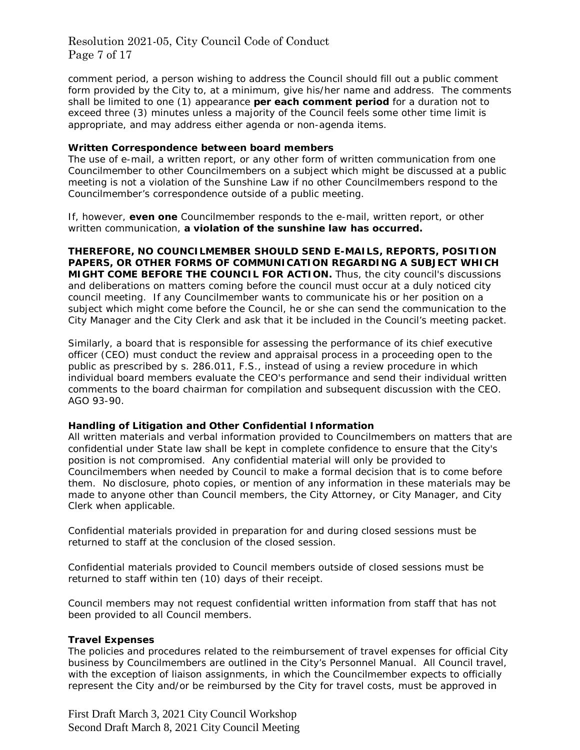# Resolution 2021-05, City Council Code of Conduct Page 7 of 17

comment period, a person wishing to address the Council should fill out a public comment form provided by the City to, at a minimum, give his/her name and address. The comments shall be limited to one (1) appearance **per each comment period** for a duration not to exceed three (3) minutes unless a majority of the Council feels some other time limit is appropriate, and may address either agenda or non-agenda items.

## **Written Correspondence between board members**

The use of e-mail, a written report, or any other form of written communication from one Councilmember to other Councilmembers on a subject which might be discussed at a public meeting is not a violation of the Sunshine Law if no other Councilmembers respond to the Councilmember's correspondence outside of a public meeting.

If, however, **even one** Councilmember responds to the e-mail, written report, or other written communication, **a violation of the sunshine law has occurred.**

**THEREFORE, NO COUNCILMEMBER SHOULD SEND E-MAILS, REPORTS, POSITION PAPERS, OR OTHER FORMS OF COMMUNICATION REGARDING A SUBJECT WHICH MIGHT COME BEFORE THE COUNCIL FOR ACTION.** Thus, the city council's discussions and deliberations on matters coming before the council must occur at a duly noticed city council meeting. If any Councilmember wants to communicate his or her position on a subject which might come before the Council, he or she can send the communication to the City Manager and the City Clerk and ask that it be included in the Council's meeting packet.

Similarly, a board that is responsible for assessing the performance of its chief executive officer (CEO) must conduct the review and appraisal process in a proceeding open to the public as prescribed by s. 286.011, F.S., instead of using a review procedure in which individual board members evaluate the CEO's performance and send their individual written comments to the board chairman for compilation and subsequent discussion with the CEO. AGO 93-90.

## **Handling of Litigation and Other Confidential Information**

All written materials and verbal information provided to Councilmembers on matters that are confidential under State law shall be kept in complete confidence to ensure that the City's position is not compromised. Any confidential material will only be provided to Councilmembers when needed by Council to make a formal decision that is to come before them. No disclosure, photo copies, or mention of any information in these materials may be made to anyone other than Council members, the City Attorney, or City Manager, and City Clerk when applicable.

Confidential materials provided in preparation for and during closed sessions must be returned to staff at the conclusion of the closed session.

Confidential materials provided to Council members outside of closed sessions must be returned to staff within ten (10) days of their receipt.

Council members may not request confidential written information from staff that has not been provided to all Council members.

## **Travel Expenses**

The policies and procedures related to the reimbursement of travel expenses for official City business by Councilmembers are outlined in the City's Personnel Manual. All Council travel, with the exception of liaison assignments, in which the Councilmember expects to officially represent the City and/or be reimbursed by the City for travel costs, must be approved in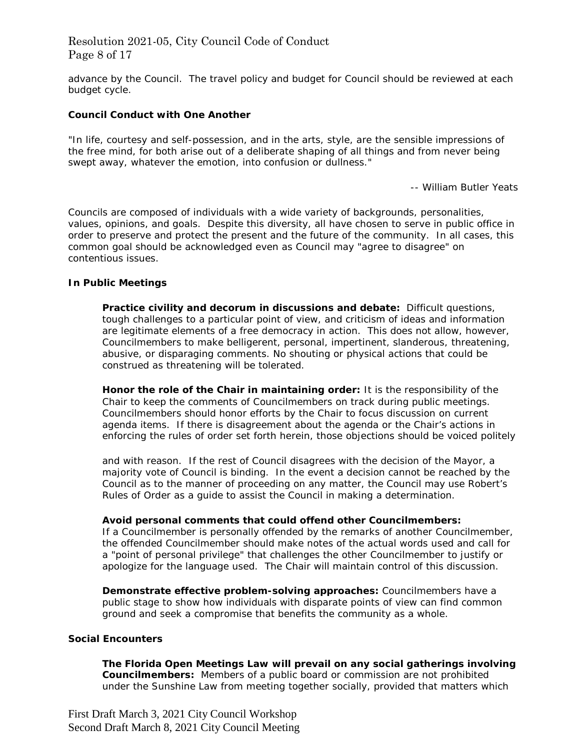advance by the Council. The travel policy and budget for Council should be reviewed at each budget cycle.

## **Council Conduct with One Another**

"In life, courtesy and self-possession, and in the arts, style, are the sensible impressions of the free mind, for both arise out of a deliberate shaping of all things and from never being swept away, whatever the emotion, into confusion or dullness."

-- William Butler Yeats

Councils are composed of individuals with a wide variety of backgrounds, personalities, values, opinions, and goals. Despite this diversity, all have chosen to serve in public office in order to preserve and protect the present and the future of the community. In all cases, this common goal should be acknowledged even as Council may "agree to disagree" on contentious issues.

## **In Public Meetings**

**Practice civility and decorum in discussions and debate:** Difficult questions, tough challenges to a particular point of view, and criticism of ideas and information are legitimate elements of a free democracy in action. This does not allow, however, Councilmembers to make belligerent, personal, impertinent, slanderous, threatening, abusive, or disparaging comments. No shouting or physical actions that could be construed as threatening will be tolerated.

**Honor the role of the Chair in maintaining order:** It is the responsibility of the Chair to keep the comments of Councilmembers on track during public meetings. Councilmembers should honor efforts by the Chair to focus discussion on current agenda items. If there is disagreement about the agenda or the Chair's actions in enforcing the rules of order set forth herein, those objections should be voiced politely

and with reason. If the rest of Council disagrees with the decision of the Mayor, a majority vote of Council is binding. In the event a decision cannot be reached by the Council as to the manner of proceeding on any matter, the Council may use Robert's Rules of Order as a guide to assist the Council in making a determination.

#### **Avoid personal comments that could offend other Councilmembers:**

If a Councilmember is personally offended by the remarks of another Councilmember, the offended Councilmember should make notes of the actual words used and call for a "point of personal privilege" that challenges the other Councilmember to justify or apologize for the language used. The Chair will maintain control of this discussion.

**Demonstrate effective problem-solving approaches:** Councilmembers have a public stage to show how individuals with disparate points of view can find common ground and seek a compromise that benefits the community as a whole.

## **Social Encounters**

**The Florida Open Meetings Law will prevail on any social gatherings involving Councilmembers:** Members of a public board or commission are not prohibited under the Sunshine Law from meeting together socially, provided that matters which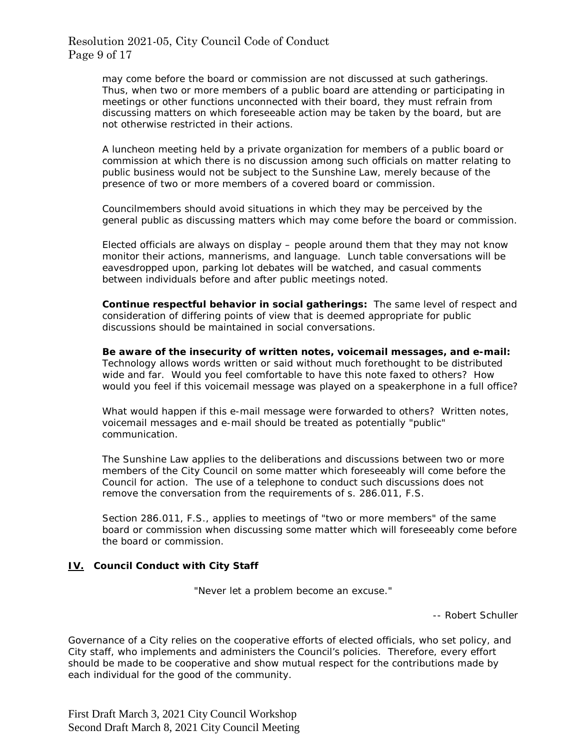may come before the board or commission are not discussed at such gatherings. Thus, when two or more members of a public board are attending or participating in meetings or other functions unconnected with their board, they must refrain from discussing matters on which foreseeable action may be taken by the board, but are not otherwise restricted in their actions.

A luncheon meeting held by a private organization for members of a public board or commission at which there is no discussion among such officials on matter relating to public business would not be subject to the Sunshine Law, merely because of the presence of two or more members of a covered board or commission.

Councilmembers should avoid situations in which they may be perceived by the general public as discussing matters which may come before the board or commission.

Elected officials are always on display – people around them that they may not know monitor their actions, mannerisms, and language. Lunch table conversations will be eavesdropped upon, parking lot debates will be watched, and casual comments between individuals before and after public meetings noted.

**Continue respectful behavior in social gatherings:** The same level of respect and consideration of differing points of view that is deemed appropriate for public discussions should be maintained in social conversations.

**Be aware of the insecurity of written notes, voicemail messages, and e-mail:**  Technology allows words written or said without much forethought to be distributed wide and far. Would you feel comfortable to have this note faxed to others? How would you feel if this voicemail message was played on a speakerphone in a full office?

What would happen if this e-mail message were forwarded to others? Written notes, voicemail messages and e-mail should be treated as potentially "public" communication.

The Sunshine Law applies to the deliberations and discussions between two or more members of the City Council on some matter which foreseeably will come before the Council for action. The use of a telephone to conduct such discussions does not remove the conversation from the requirements of s. 286.011, F.S.

Section 286.011, F.S., applies to meetings of "two or more members" of the same board or commission when discussing some matter which will foreseeably come before the board or commission.

#### **IV. Council Conduct with City Staff**

"Never let a problem become an excuse."

-- Robert Schuller

Governance of a City relies on the cooperative efforts of elected officials, who set policy, and City staff, who implements and administers the Council's policies. Therefore, every effort should be made to be cooperative and show mutual respect for the contributions made by each individual for the good of the community.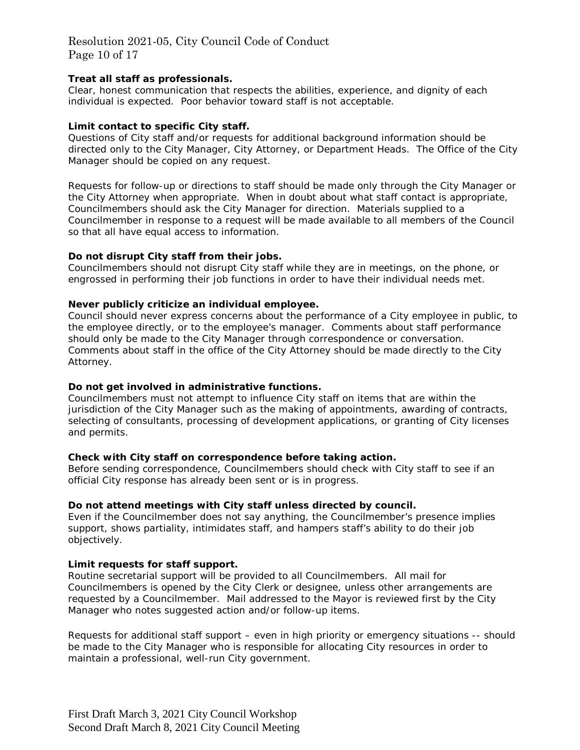# Resolution 2021-05, City Council Code of Conduct Page 10 of 17

## **Treat all staff as professionals.**

Clear, honest communication that respects the abilities, experience, and dignity of each individual is expected. Poor behavior toward staff is not acceptable.

## **Limit contact to specific City staff.**

Questions of City staff and/or requests for additional background information should be directed only to the City Manager, City Attorney, or Department Heads. The Office of the City Manager should be copied on any request.

Requests for follow-up or directions to staff should be made only through the City Manager or the City Attorney when appropriate. When in doubt about what staff contact is appropriate, Councilmembers should ask the City Manager for direction. Materials supplied to a Councilmember in response to a request will be made available to all members of the Council so that all have equal access to information.

## **Do not disrupt City staff from their jobs.**

Councilmembers should not disrupt City staff while they are in meetings, on the phone, or engrossed in performing their job functions in order to have their individual needs met.

## **Never publicly criticize an individual employee.**

Council should never express concerns about the performance of a City employee in public, to the employee directly, or to the employee's manager. Comments about staff performance should only be made to the City Manager through correspondence or conversation. Comments about staff in the office of the City Attorney should be made directly to the City Attorney.

## **Do not get involved in administrative functions.**

Councilmembers must not attempt to influence City staff on items that are within the jurisdiction of the City Manager such as the making of appointments, awarding of contracts, selecting of consultants, processing of development applications, or granting of City licenses and permits.

## **Check with City staff on correspondence before taking action.**

Before sending correspondence, Councilmembers should check with City staff to see if an official City response has already been sent or is in progress.

## **Do not attend meetings with City staff unless directed by council.**

Even if the Councilmember does not say anything, the Councilmember's presence implies support, shows partiality, intimidates staff, and hampers staff's ability to do their job objectively.

#### **Limit requests for staff support.**

Routine secretarial support will be provided to all Councilmembers. All mail for Councilmembers is opened by the City Clerk or designee, unless other arrangements are requested by a Councilmember. Mail addressed to the Mayor is reviewed first by the City Manager who notes suggested action and/or follow-up items.

Requests for additional staff support – even in high priority or emergency situations -- should be made to the City Manager who is responsible for allocating City resources in order to maintain a professional, well-run City government.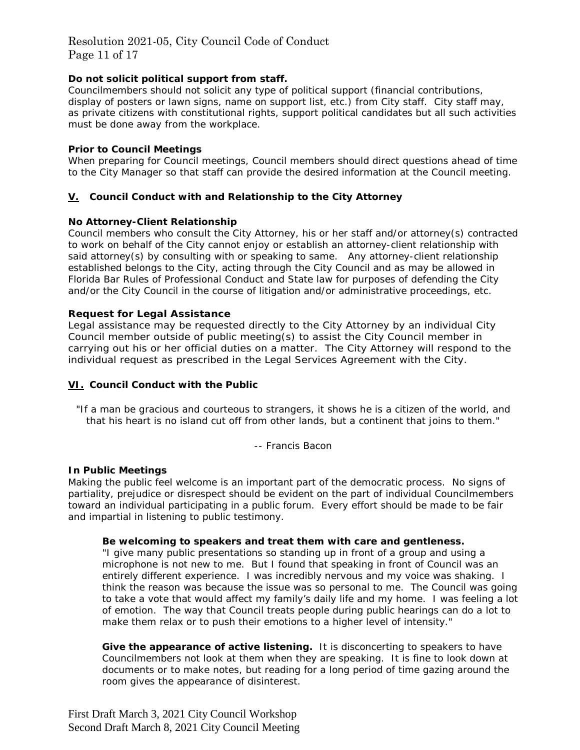# Resolution 2021-05, City Council Code of Conduct Page 11 of 17

## **Do not solicit political support from staff.**

Councilmembers should not solicit any type of political support (financial contributions, display of posters or lawn signs, name on support list, etc.) from City staff. City staff may, as private citizens with constitutional rights, support political candidates but all such activities must be done away from the workplace.

## **Prior to Council Meetings**

When preparing for Council meetings, Council members should direct questions ahead of time to the City Manager so that staff can provide the desired information at the Council meeting.

## **V. Council Conduct with and Relationship to the City Attorney**

## **No Attorney-Client Relationship**

Council members who consult the City Attorney, his or her staff and/or attorney(s) contracted to work on behalf of the City cannot enjoy or establish an attorney-client relationship with said attorney(s) by consulting with or speaking to same. Any attorney-client relationship established belongs to the City, acting through the City Council and as may be allowed in Florida Bar Rules of Professional Conduct and State law for purposes of defending the City and/or the City Council in the course of litigation and/or administrative proceedings, etc.

## **Request for Legal Assistance**

Legal assistance may be requested directly to the City Attorney by an individual City Council member outside of public meeting(s) to assist the City Council member in carrying out his or her official duties on a matter. The City Attorney will respond to the individual request as prescribed in the Legal Services Agreement with the City.

## **VI. Council Conduct with the Public**

"If a man be gracious and courteous to strangers, it shows he is a citizen of the world, and that his heart is no island cut off from other lands, but a continent that joins to them."

-- Francis Bacon

#### **In Public Meetings**

Making the public feel welcome is an important part of the democratic process. No signs of partiality, prejudice or disrespect should be evident on the part of individual Councilmembers toward an individual participating in a public forum. Every effort should be made to be fair and impartial in listening to public testimony.

### **Be welcoming to speakers and treat them with care and gentleness.**

"I give many public presentations so standing up in front of a group and using a microphone is not new to me. But I found that speaking in front of Council was an entirely different experience. I was incredibly nervous and my voice was shaking. I think the reason was because the issue was so personal to me. The Council was going to take a vote that would affect my family's daily life and my home. I was feeling a lot of emotion. The way that Council treats people during public hearings can do a lot to make them relax or to push their emotions to a higher level of intensity."

**Give the appearance of active listening.** It is disconcerting to speakers to have Councilmembers not look at them when they are speaking. It is fine to look down at documents or to make notes, but reading for a long period of time gazing around the room gives the appearance of disinterest.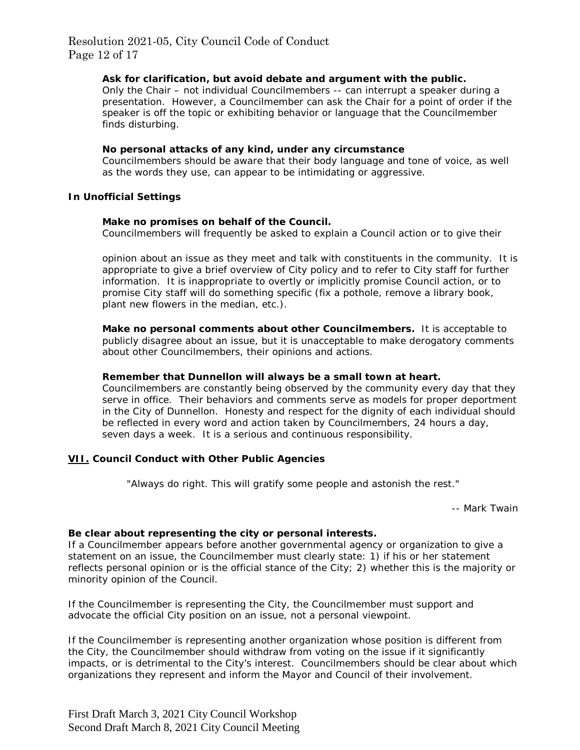## **Ask for clarification, but avoid debate and argument with the public.**

Only the Chair – not individual Councilmembers -- can interrupt a speaker during a presentation. However, a Councilmember can ask the Chair for a point of order if the speaker is off the topic or exhibiting behavior or language that the Councilmember finds disturbing.

#### **No personal attacks of any kind, under any circumstance**

Councilmembers should be aware that their body language and tone of voice, as well as the words they use, can appear to be intimidating or aggressive.

## **In Unofficial Settings**

## **Make no promises on behalf of the Council.**

Councilmembers will frequently be asked to explain a Council action or to give their

opinion about an issue as they meet and talk with constituents in the community. It is appropriate to give a brief overview of City policy and to refer to City staff for further information. It is inappropriate to overtly or implicitly promise Council action, or to promise City staff will do something specific (fix a pothole, remove a library book, plant new flowers in the median, etc.).

**Make no personal comments about other Councilmembers.** It is acceptable to publicly disagree about an issue, but it is unacceptable to make derogatory comments about other Councilmembers, their opinions and actions.

#### **Remember that Dunnellon will always be a small town at heart.**

Councilmembers are constantly being observed by the community every day that they serve in office. Their behaviors and comments serve as models for proper deportment in the City of Dunnellon. Honesty and respect for the dignity of each individual should be reflected in every word and action taken by Councilmembers, 24 hours a day, seven days a week. It is a serious and continuous responsibility.

## **VII. Council Conduct with Other Public Agencies**

"Always do right. This will gratify some people and astonish the rest."

-- Mark Twain

## **Be clear about representing the city or personal interests.**

If a Councilmember appears before another governmental agency or organization to give a statement on an issue, the Councilmember must clearly state: 1) if his or her statement reflects personal opinion or is the official stance of the City; 2) whether this is the majority or minority opinion of the Council.

If the Councilmember is representing the City, the Councilmember must support and advocate the official City position on an issue, not a personal viewpoint.

If the Councilmember is representing another organization whose position is different from the City, the Councilmember should withdraw from voting on the issue if it significantly impacts, or is detrimental to the City's interest. Councilmembers should be clear about which organizations they represent and inform the Mayor and Council of their involvement.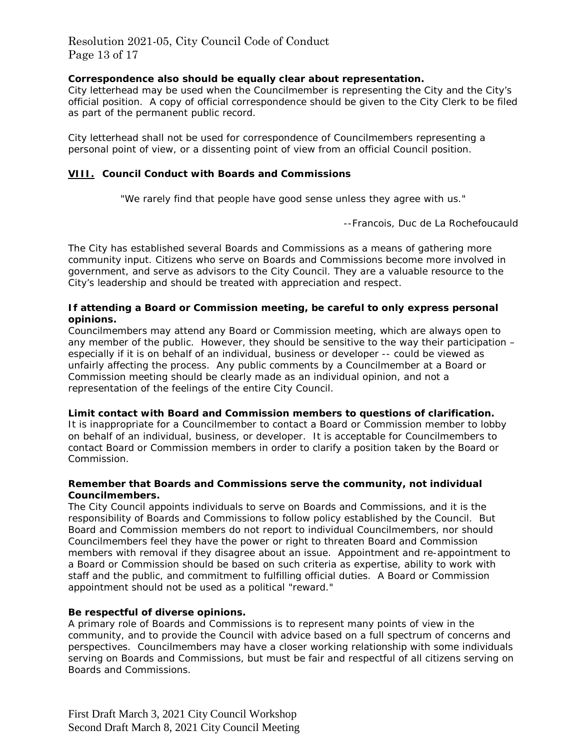Resolution 2021-05, City Council Code of Conduct Page 13 of 17

## **Correspondence also should be equally clear about representation.**

City letterhead may be used when the Councilmember is representing the City and the City's official position. A copy of official correspondence should be given to the City Clerk to be filed as part of the permanent public record.

City letterhead shall not be used for correspondence of Councilmembers representing a personal point of view, or a dissenting point of view from an official Council position.

## **VIII. Council Conduct with Boards and Commissions**

"We rarely find that people have good sense unless they agree with us."

--Francois, Duc de La Rochefoucauld

The City has established several Boards and Commissions as a means of gathering more community input. Citizens who serve on Boards and Commissions become more involved in government, and serve as advisors to the City Council. They are a valuable resource to the City's leadership and should be treated with appreciation and respect.

## **If attending a Board or Commission meeting, be careful to only express personal opinions.**

Councilmembers may attend any Board or Commission meeting, which are always open to any member of the public. However, they should be sensitive to the way their participation – especially if it is on behalf of an individual, business or developer -- could be viewed as unfairly affecting the process. Any public comments by a Councilmember at a Board or Commission meeting should be clearly made as an individual opinion, and not a representation of the feelings of the entire City Council.

#### **Limit contact with Board and Commission members to questions of clarification.**

It is inappropriate for a Councilmember to contact a Board or Commission member to lobby on behalf of an individual, business, or developer. It is acceptable for Councilmembers to contact Board or Commission members in order to clarify a position taken by the Board or Commission.

## **Remember that Boards and Commissions serve the community, not individual Councilmembers.**

The City Council appoints individuals to serve on Boards and Commissions, and it is the responsibility of Boards and Commissions to follow policy established by the Council. But Board and Commission members do not report to individual Councilmembers, nor should Councilmembers feel they have the power or right to threaten Board and Commission members with removal if they disagree about an issue. Appointment and re-appointment to a Board or Commission should be based on such criteria as expertise, ability to work with staff and the public, and commitment to fulfilling official duties. A Board or Commission appointment should not be used as a political "reward."

#### **Be respectful of diverse opinions.**

A primary role of Boards and Commissions is to represent many points of view in the community, and to provide the Council with advice based on a full spectrum of concerns and perspectives. Councilmembers may have a closer working relationship with some individuals serving on Boards and Commissions, but must be fair and respectful of all citizens serving on Boards and Commissions.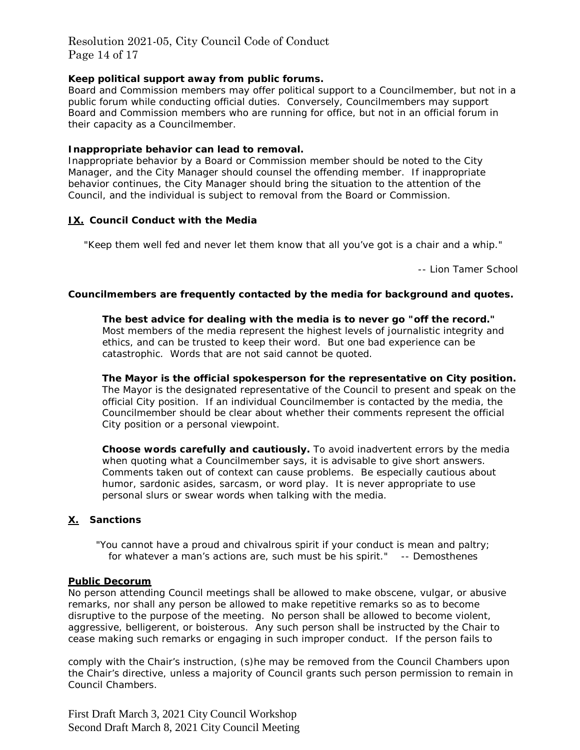# Resolution 2021-05, City Council Code of Conduct Page 14 of 17

## **Keep political support away from public forums.**

Board and Commission members may offer political support to a Councilmember, but not in a public forum while conducting official duties. Conversely, Councilmembers may support Board and Commission members who are running for office, but not in an official forum in their capacity as a Councilmember.

#### **Inappropriate behavior can lead to removal.**

Inappropriate behavior by a Board or Commission member should be noted to the City Manager, and the City Manager should counsel the offending member. If inappropriate behavior continues, the City Manager should bring the situation to the attention of the Council, and the individual is subject to removal from the Board or Commission.

## **IX. Council Conduct with the Media**

"Keep them well fed and never let them know that all you've got is a chair and a whip."

-- Lion Tamer School

## **Councilmembers are frequently contacted by the media for background and quotes.**

**The best advice for dealing with the media is to never go "off the record."** Most members of the media represent the highest levels of journalistic integrity and ethics, and can be trusted to keep their word. But one bad experience can be catastrophic. Words that are not said cannot be quoted.

**The Mayor is the official spokesperson for the representative on City position.** The Mayor is the designated representative of the Council to present and speak on the official City position. If an individual Councilmember is contacted by the media, the Councilmember should be clear about whether their comments represent the official City position or a personal viewpoint.

**Choose words carefully and cautiously.** To avoid inadvertent errors by the media when quoting what a Councilmember says, it is advisable to give short answers. Comments taken out of context can cause problems. Be especially cautious about humor, sardonic asides, sarcasm, or word play. It is never appropriate to use personal slurs or swear words when talking with the media.

## **X. Sanctions**

"You cannot have a proud and chivalrous spirit if your conduct is mean and paltry; for whatever a man's actions are, such must be his spirit." -- Demosthenes

#### **Public Decorum**

No person attending Council meetings shall be allowed to make obscene, vulgar, or abusive remarks, nor shall any person be allowed to make repetitive remarks so as to become disruptive to the purpose of the meeting. No person shall be allowed to become violent, aggressive, belligerent, or boisterous. Any such person shall be instructed by the Chair to cease making such remarks or engaging in such improper conduct. If the person fails to

comply with the Chair's instruction, (s)he may be removed from the Council Chambers upon the Chair's directive, unless a majority of Council grants such person permission to remain in Council Chambers.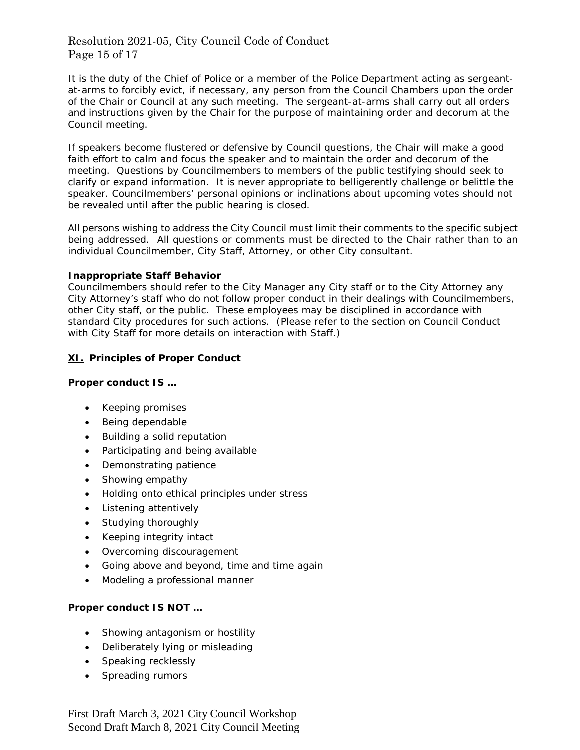# Resolution 2021-05, City Council Code of Conduct Page 15 of 17

It is the duty of the Chief of Police or a member of the Police Department acting as sergeantat-arms to forcibly evict, if necessary, any person from the Council Chambers upon the order of the Chair or Council at any such meeting. The sergeant-at-arms shall carry out all orders and instructions given by the Chair for the purpose of maintaining order and decorum at the Council meeting.

If speakers become flustered or defensive by Council questions, the Chair will make a good faith effort to calm and focus the speaker and to maintain the order and decorum of the meeting. Questions by Councilmembers to members of the public testifying should seek to clarify or expand information. It is never appropriate to belligerently challenge or belittle the speaker. Councilmembers' personal opinions or inclinations about upcoming votes should not be revealed until after the public hearing is closed.

All persons wishing to address the City Council must limit their comments to the specific subject being addressed. All questions or comments must be directed to the Chair rather than to an individual Councilmember, City Staff, Attorney, or other City consultant.

## **Inappropriate Staff Behavior**

Councilmembers should refer to the City Manager any City staff or to the City Attorney any City Attorney's staff who do not follow proper conduct in their dealings with Councilmembers, other City staff, or the public. These employees may be disciplined in accordance with standard City procedures for such actions. (Please refer to the section on Council Conduct with City Staff for more details on interaction with Staff.)

## **XI. Principles of Proper Conduct**

## **Proper conduct IS …**

- Keeping promises
- Being dependable
- Building a solid reputation
- Participating and being available
- Demonstrating patience
- Showing empathy
- Holding onto ethical principles under stress
- Listening attentively
- Studying thoroughly
- Keeping integrity intact
- Overcoming discouragement
- Going above and beyond, time and time again
- Modeling a professional manner

## **Proper conduct IS NOT …**

- Showing antagonism or hostility
- Deliberately lying or misleading
- Speaking recklessly
- Spreading rumors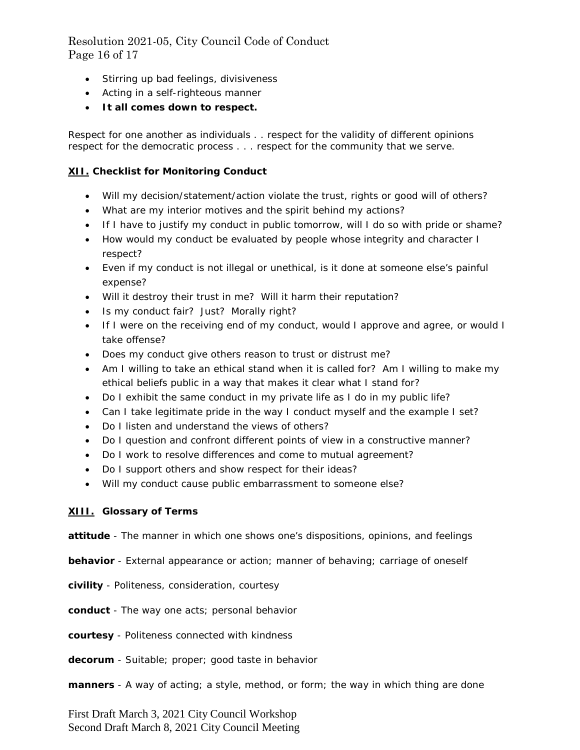Resolution 2021-05, City Council Code of Conduct Page 16 of 17

- Stirring up bad feelings, divisiveness
- Acting in a self-righteous manner
- **It all comes down to respect.**

Respect for one another as individuals . . respect for the validity of different opinions respect for the democratic process . . . respect for the community that we serve.

## **XII. Checklist for Monitoring Conduct**

- Will my decision/statement/action violate the trust, rights or good will of others?
- What are my interior motives and the spirit behind my actions?
- If I have to justify my conduct in public tomorrow, will I do so with pride or shame?
- How would my conduct be evaluated by people whose integrity and character I respect?
- Even if my conduct is not illegal or unethical, is it done at someone else's painful expense?
- Will it destroy their trust in me? Will it harm their reputation?
- Is my conduct fair? Just? Morally right?
- If I were on the receiving end of my conduct, would I approve and agree, or would I take offense?
- Does my conduct give others reason to trust or distrust me?
- Am I willing to take an ethical stand when it is called for? Am I willing to make my ethical beliefs public in a way that makes it clear what I stand for?
- Do I exhibit the same conduct in my private life as I do in my public life?
- Can I take legitimate pride in the way I conduct myself and the example I set?
- Do I listen and understand the views of others?
- Do I question and confront different points of view in a constructive manner?
- Do I work to resolve differences and come to mutual agreement?
- Do I support others and show respect for their ideas?
- Will my conduct cause public embarrassment to someone else?

## **XIII. Glossary of Terms**

**attitude** - The manner in which one shows one's dispositions, opinions, and feelings

- **behavior** External appearance or action; manner of behaving; carriage of oneself
- **civility** Politeness, consideration, courtesy

**conduct** - The way one acts; personal behavior

**courtesy** - Politeness connected with kindness

**decorum** - Suitable; proper; good taste in behavior

**manners** - A way of acting; a style, method, or form; the way in which thing are done